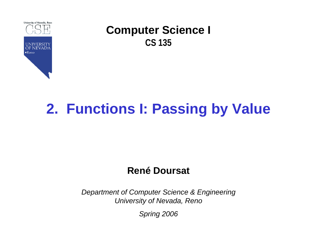

# **2. Functions I: Passing by Value**

### **René Doursat**

*Department of Computer Science & Engineering University of Nevada, Reno*

*Spring 2006*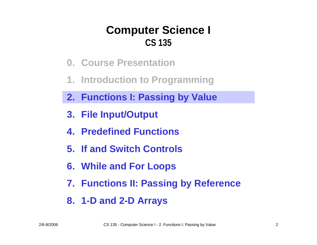- **0. Course Presentation**
- **1. Introduction to Programming**
- **2. Functions I: Passing by Value**
- **3. File Input/Output**
- **4. Predefined Functions**
- **5. If and Switch Controls**
- **6. While and For Loops**
- **7. Functions II: Passing by Reference**
- **8. 1-D and 2-D Arrays**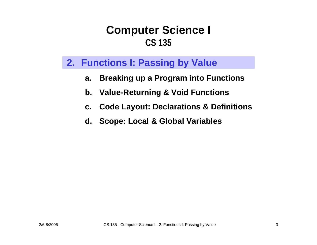#### **2. Functions I: Passing by Value**

- **a.Breaking up a Program into Functions**
- **b. Value-Returning & Void Functions**
- **c.Code Layout: Declarations & Definitions**
- **d. Scope: Local & Global Variables**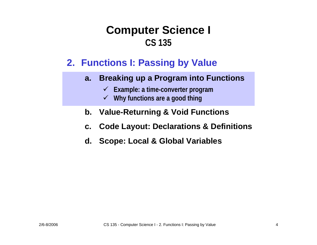#### **2. Functions I: Passing by Value**

- **a. Breaking up a Program into Functions**
	- 9 **Example: a time-converter program**
	- 9 **Why functions are a good thing**
- **b. Value-Returning & Void Functions**
- **c. Code Layout: Declarations & Definitions**
- **d. Scope: Local & Global Variables**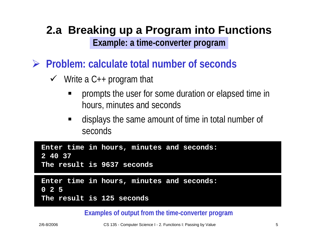### **2.a Breaking up a Program into Functions Example: a time-converter program**

¾ **Problem: calculate total number of seconds**

- $\checkmark$  Write a C++ program that
	- ٠ prompts the user for some duration or elapsed time in hours, minutes and seconds
	- displays the same amount of time in total number of seconds

| 2 40 37 | Enter time in hours, minutes and seconds: |
|---------|-------------------------------------------|
|         | The result is 9637 seconds                |
|         |                                           |
|         | Enter time in hours, minutes and seconds: |
|         |                                           |
| 0 2 5   |                                           |

**Examples of output from the time-converter program**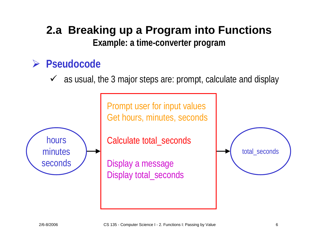### **2.a Breaking up a Program into Functions Example: a time-converter program**

### ¾ **Pseudocode**

 $\checkmark$  as usual, the 3 major steps are: prompt, calculate and display



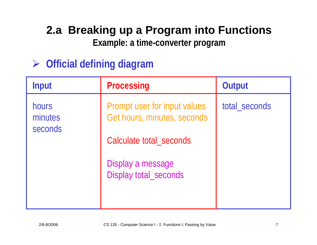**Example: a time-converter program**

## ¾ **Official defining diagram**

| <b>Input</b>                | <b>Processing</b>                                                                      | Output        |
|-----------------------------|----------------------------------------------------------------------------------------|---------------|
| hours<br>minutes<br>seconds | Prompt user for input values<br>Get hours, minutes, seconds<br>Calculate total_seconds | total_seconds |
|                             | Display a message<br>Display total_seconds                                             |               |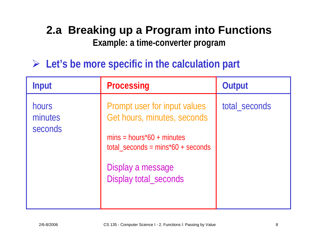### **2.a Breaking up a Program into Functions Example: a time-converter program**

¾ **Let's be more specific in the calculation part**

| <b>Input</b>                | <b>Processing</b>                                                                                                                                                                | Output        |
|-----------------------------|----------------------------------------------------------------------------------------------------------------------------------------------------------------------------------|---------------|
| hours<br>minutes<br>seconds | Prompt user for input values<br>Get hours, minutes, seconds<br>$mins = hours*60 + minutes$<br>$total\_seconds = mins*60 + seconds$<br>Display a message<br>Display total_seconds | total_seconds |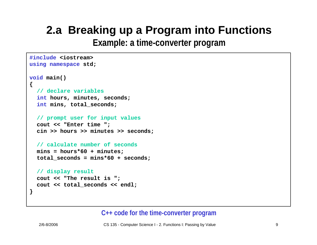**Example: a time-converter program**

```
#include <iostream>
using namespace std;
void main()
{
  // declare variables
  int hours, minutes, seconds;
  int mins, total_seconds;
  // prompt user for input values
  cout << "Enter time ";
  cin >> hours >> minutes >> seconds;
  // calculate number of seconds
  mins = hours*60 + minutes;
  total_seconds = mins*60 + seconds;
  // display result
  cout << "The result is ";
  cout << total_seconds << endl;
}
```
#### **C++ code for the time-converter program**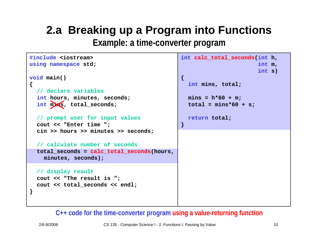**Example: a time-converter program**

```
#include <iostream>
using namespace std;
void main()
{
  // declare variables
  int hours, minutes, seconds;
  int mins, total_seconds;
  // prompt user for input values
  cout << "Enter time ";
  cin >> hours >> minutes >> seconds;
  // calculate number of seconds
  total_seconds = calc_total_seconds(hours,
    minutes, seconds);
  // display result
  cout << "The result is ";
  cout << total_seconds << endl;
}
                                                int calc_total_seconds(int h,
                                                                        int m,
                                                                        int s)
                                               {
                                                  int mins, total;
                                                 mins = h*60 + m;
                                                 total = mins*60 + s;
                                                  return total;
                                               }
```
#### **C++ code for the time-converter program using a value-returning function**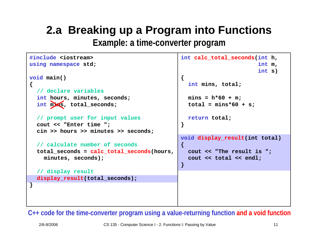**Example: a time-converter program**

```
#include <iostream>
using namespace std;
void main()
{
  // declare variables
  int hours, minutes, seconds;
  int mins, total_seconds;
  // prompt user for input values
  cout << "Enter time ";
  cin >> hours >> minutes >> seconds;
  // calculate number of seconds
  total_seconds = calc_total_seconds(hours,
    minutes, seconds);
  // display result
  display result(total seconds);
}
                                                int calc_total_seconds(int h,
                                                                        int m,
                                                                        int s)
                                               {
                                                  int mins, total;
                                                 mins = h*60 + m;
                                                  total = mins*60 + s;
                                                  return total;
                                               }
                                                void display_result(int total)
                                                {
                                                  cout << "The result is ";
                                                  cout << total << endl;
                                               }
```
**C++ code for the time-converter program using a value-returning function and a void function**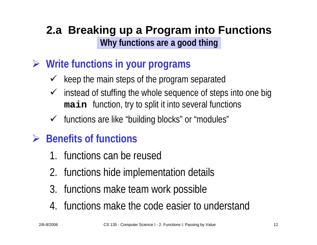- ¾ **Write functions in your programs**
	- $\checkmark$  keep the main steps of the program separated
	- $\checkmark$  instead of stuffing the whole sequence of steps into one big **main** function, try to split it into several functions
	- ✔ functions are like "building blocks" or "modules"

## ¾ **Benefits of functions**

- 1. functions can be reused
- 2. functions hide implementation details
- 3. functions make team work possible
- 4. functions make the code easier to understand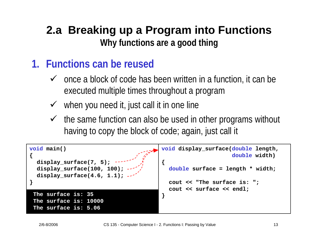### **1. Functions can be reused**

- $\checkmark$  once a block of code has been written in a function, it can be executed multiple times throughout a program
- $\checkmark$  when you need it, just call it in one line
- $\checkmark$  the same function can also be used in other programs without having to copy the block of code; again, just call it

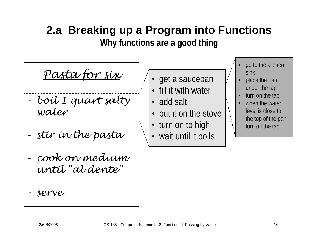*Pasta for six*

- *– boil 1 q uart salty water*
- *–stir in the pasta*
- *–cook on medium until "al dente"*
- *– serv e*
- • get a saucepan • fill it with water
	- add salt
- •put it on the stove
- turn on to high
- wait until it boils
- • go to the kitchen sink
- • place the pan under the tap
- • turn on the tap
	- • when the water level is close to the top of the pan, turn off the tap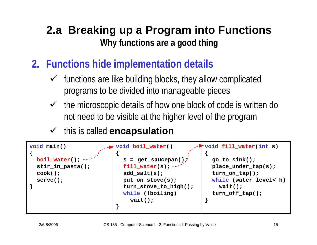- **2. Functions hide implementation details**
	- $\checkmark$  functions are like building blocks, they allow complicated programs to be divided into manageable pieces
	- $\checkmark$  the microscopic details of how one block of code is written do not need to be visible at the higher level of the program
	- $\checkmark$  this is called **encapsulation**

```
void main()
{
  boil_water();
  stir_in_pasta();
  cook();
  serve();
}
                            void boil_water()
                            {
                              s = get_saucepan();
                              fill water(s); -
                              add_salt(s);
                              put_on_stove(s);
                              turn stove to high();
                              while (!boiling)
                                wait();
                            }
                                                        void fill_water(int s)
                                                        {
                                                          go_to_sink();
                                                          place_under_tap(s);
                                                          turn_on_tap();
                                                           while (water_level< h)
                                                             wait();
                                                          turn_off_tap();
                                                         }
```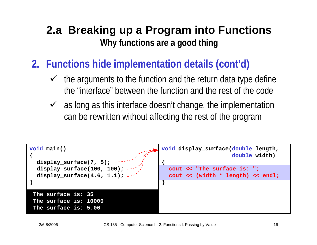- **2. Functions hide implementation details (cont'd)**
	- $\checkmark$  the arguments to the function and the return data type define the "interface" between the function and the rest of the code
	- $\checkmark$  as long as this interface doesn't change, the implementation can be rewritten without affecting the rest of the program

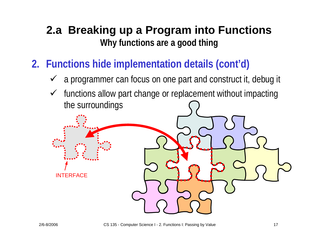- **2. Functions hide implementation details (cont'd)**
	- $\checkmark$  a programmer can focus on one part and construct it, debug it
	- $\checkmark$  functions allow part change or replacement without impacting the surroundings

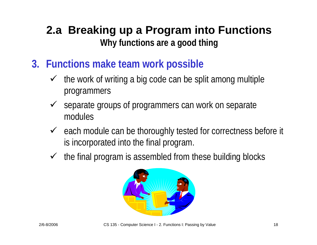- **3. Functions make team work possible**
	- $\checkmark$  the work of writing a big code can be split among multiple programmers
	- $\checkmark$  separate groups of programmers can work on separate modules
	- $\checkmark$  each module can be thoroughly tested for correctness before it is incorporated into the final program.
	- $\checkmark$  the final program is assembled from these building blocks

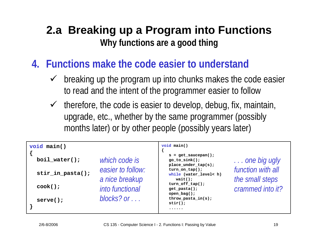- **4. Functions make the code easier to understand**
	- $\checkmark$  breaking up the program up into chunks makes the code easier to read and the intent of the programmer easier to follow
	- $\checkmark$  therefore, the code is easier to develop, debug, fix, maintain, upgrade, etc., whether by the same programmer (possibly months later) or by other people (possibly years later)

| void main()      |                                     | void main()                                                                                                             |                                                          |
|------------------|-------------------------------------|-------------------------------------------------------------------------------------------------------------------------|----------------------------------------------------------|
| $boil_water()$ ; | which code is                       | $s = get\_saucepan()$ ;<br>$go_to$ sink();<br>$place\_under\_tap(s);$                                                   | one big ugly                                             |
| stir_in_pasta(); | easier to follow:<br>a nice breakup | $turn\_on\_tap()$ ;<br>while (water_level< h)<br>$wait()$ ;<br>$turn_of_f_tap()$ ;<br>$get\_past()$ ;<br>open $bag()$ ; | function with all<br>the small steps<br>crammed into it? |
| $\cosh()$ ;      | <i>into functional</i>              |                                                                                                                         |                                                          |
| $serve()$ ;      | blocks? or $\ldots$                 | throw_pasta_in(s);<br>$stir()$ ;                                                                                        |                                                          |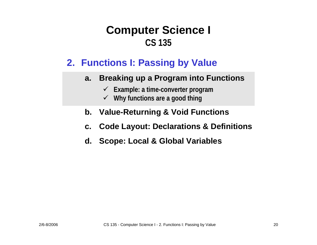### **2. Functions I: Passing by Value**

- **a. Breaking up a Program into Functions**
	- 9 **Example: a time-converter program**
	- 9 **Why functions are a good thing**
- **b. Value-Returning & Void Functions**
- **c. Code Layout: Declarations & Definitions**
- **d. Scope: Local & Global Variables**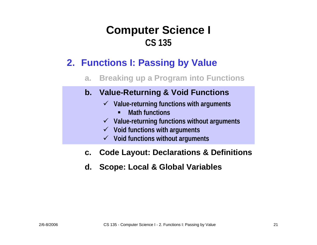### **2. Functions I: Passing by Value**

**a.Breaking up a Program into Functions**

#### **b. Value-Returning & Void Functions**

- 9 **Value-returning functions with arguments**
	- П **Math functions**
- 9 **Value-returning functions without arguments**
- 9 **Void functions with arguments**
- 9 **Void functions without arguments**
- **c.Code Layout: Declarations & Definitions**
- **d. Scope: Local & Global Variables**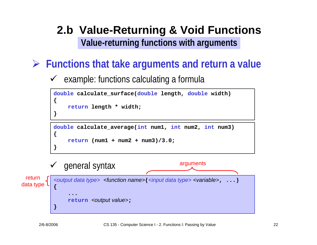### **2.b Value-Returning & Void Functions Value-returning functions with arguments**

### ¾ **Functions that take arguments and return a value**

 $\sqrt{ }$ example: functions calculating a formula

```
double calculate_surface(double length, double width)
{
    return length * width;
}
double calculate_average(int num1, int num2, int num3)
{
```

```
return (num1 + num2 + num3)/3.0;
```


**}**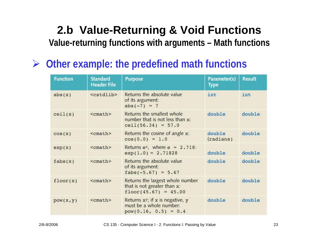### **2.b Value-Returning & Void Functions Value-returning functions with arguments – Math functions**

#### ¾**Other example: the predefined math functions**

| <b>Function</b> | <b>Standard</b><br><b>Header File</b> | <b>Purpose</b>                                                                            | Parameter(s)<br>Type | <b>Result</b> |
|-----------------|---------------------------------------|-------------------------------------------------------------------------------------------|----------------------|---------------|
| abs(x)          | <cstdlib></cstdlib>                   | Returns the absolute value<br>of its argument:<br>$abs(-7) = 7$                           | int                  | int           |
| ceil(x)         | $<$ cmath>                            | Returns the smallest whole<br>number that is not less than x:<br>$ceil(56.34) = 57.0$     | double               | double        |
| cos(x)          | <cmath></cmath>                       | Returns the cosine of angle x:<br>$cos(0.0) = 1.0$                                        | double<br>(radians)  | double        |
| exp(x)          | <cmath></cmath>                       | Returns $e^x$ , where $e = 2.718$ :<br>$exp(1.0) = 2.71828$                               | double               | double        |
| fabs(x)         | <cmath></cmath>                       | Returns the absolute value<br>of its argument:<br>fabs $(-5.67) = 5.67$                   | double               | double        |
| floor(x)        | <cmath></cmath>                       | Returns the largest whole number<br>that is not greater than x:<br>$floor(45.67) = 45.00$ | double               | double        |
| pow(x, y)       | <cmath></cmath>                       | Returns $x^y$ ; if x is negative, y<br>must be a whole number:<br>$pow(0.16, 0.5) = 0.4$  | double               | double        |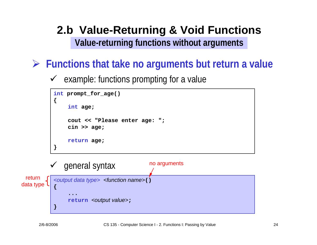### **2.b Value-Returning & Void Functions Value-returning functions without arguments**

### ¾ **Functions that take no arguments but return a value**

 $\sqrt{ }$ example: functions prompting for a value



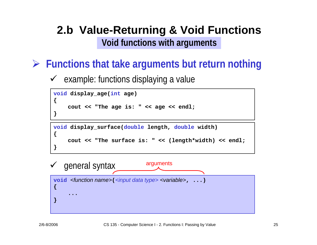### **2.b Value-Returning & Void Functions Void functions with arguments**

### ¾ **Functions that take arguments but return nothing**

 $\sqrt{ }$ example: functions displaying a value

```
void display_age(int age)
{
    cout << "The age is: " << age << endl;
}
```
**void display\_surface(double length, double width)**

```
cout << "The surface is: " << (length*width) << endl;
```


**{**

**}**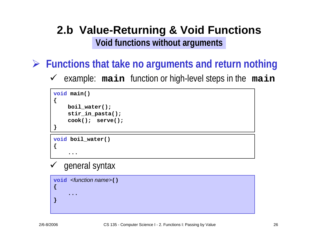### **2.b Value-Returning & Void Functions Void functions without arguments**

¾ **Functions that take no arguments and return nothing**

 $\checkmark$ example: **main** function or high-level steps in the **main**

```
void main()
{
    boil_water();
    stir_in_pasta();
    cook(); serve();
}
```
**void boil\_water()**

**...**

```
\checkmark general syntax
```
**void** *<function name>***() { ...}**

**{**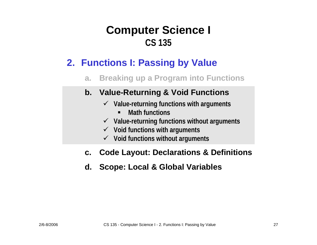### **2. Functions I: Passing by Value**

#### **a.Breaking up a Program into Functions**

#### **b. Value-Returning & Void Functions**

- 9 **Value-returning functions with arguments**
	- **Math functions**
- 9 **Value-returning functions without arguments**
- 9 **Void functions with arguments**
- 9 **Void functions without arguments**

#### **c.Code Layout: Declarations & Definitions**

#### **d. Scope: Local & Global Variables**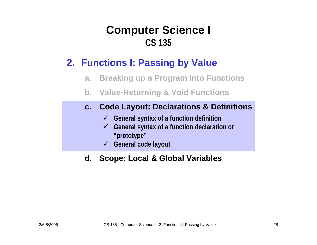### **2. Functions I: Passing by Value**

- **a.Breaking up a Program into Functions**
- **b. Value-Returning & Void Functions**

#### **c. Code Layout: Declarations & Definitions**

- 9 **General syntax of a function definition**
- 9 **General syntax of a function declaration or "prototype"**
- 9 **General code layout**

#### **d. Scope: Local & Global Variables**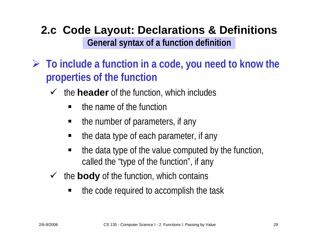### **2.c Code Layout: Declarations & Definitions General syntax of a function definition**

- ¾ **To include a function in a code, you need to know the properties of the function**
	- $\checkmark$  the **header** of the function, which includes
		- the name of the function
		- $\blacksquare$ the number of parameters, if any
		- $\blacksquare$ the data type of each parameter, if any
		- ٠ the data type of the value computed by the function, called the "type of the function", if any
	- $\sqrt{ }$  the **body** of the function, which contains
		- $\blacksquare$ the code required to accomplish the task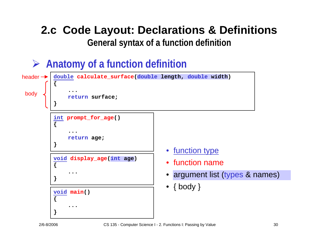### **2.c Code Layout: Declarations & Definitions General syntax of a function definition**

¾ **Anatomy of a function definition**

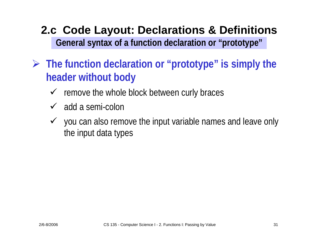### **2.c Code Layout: Declarations & Definitions General syntax of a function declaration or "prototype"**

- ¾ **The function declaration or "prototype" is simply the header without body**
	- $\checkmark$  remove the whole block between curly braces
	- $\checkmark$  add a semi-colon
	- $\checkmark$  you can also remove the input variable names and leave only the input data types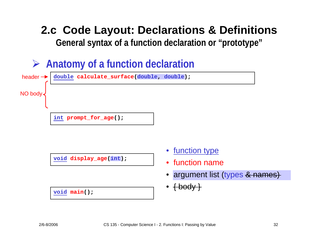### **2.c Code Layout: Declarations & Definitions General syntax of a function declaration or "prototype"**

¾ **Anatomy of a function declaration**



**void display\_age(int age) display\_age(int);**

- •**•** function name
- •*argument list (types & names)* argument list (types& names)
- *{ body }* { body }

**void main() main();**

**{**

**{**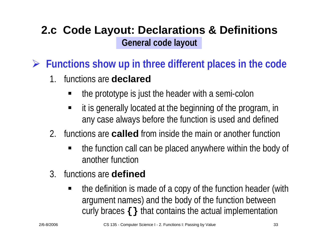### **2.c Code Layout: Declarations & Definitions General code layout**

¾ **Functions show up in three different places in the code**

- 1. functions are **declared**
	- ٠ the prototype is just the header with a semi-colon
	- ٠ it is generally located at the beginning of the program, in any case always before the function is used and defined
- 2. functions are **called** from inside the main or another function
	- the function call can be placed anywhere within the body of another function
- 3. functions are **defined**
	- ٠ the definition is made of a copy of the function header (with argument names) and the body of the function between curly braces **{}** that contains the actual implementation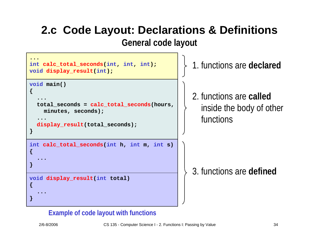## **2.c Code Layout: Declarations & Definitions**

**General code layout**



#### **Example of code layout with functions**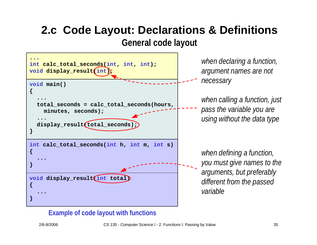# **2.c Code Layout: Declarations & Definitions**

**General code layout**



#### **Example of code layout with functions**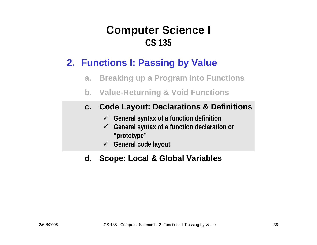### **2. Functions I: Passing by Value**

- **a.Breaking up a Program into Functions**
- **b. Value-Returning & Void Functions**

#### **c. Code Layout: Declarations & Definitions**

- 9 **General syntax of a function definition**
- 9 **General syntax of a function declaration or "prototype"**
- 9 **General code layout**

#### **d. Scope: Local & Global Variables**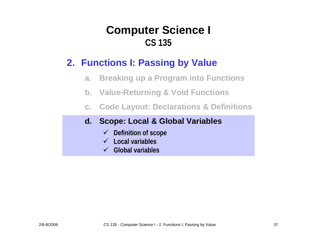### **2. Functions I: Passing by Value**

- **a.Breaking up a Program into Functions**
- **b. Value-Returning & Void Functions**
- **c.Code Layout: Declarations & Definitions**

#### **d. Scope: Local & Global Variables**

- 9 **Definition of scope**
- 9 **Local vari ables**
- 9**Global variables**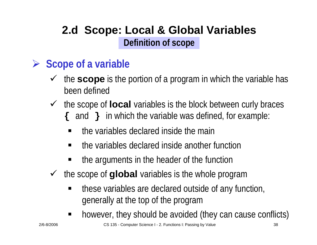### **2.d Scope: Local & Global Variables Definition of scope**

#### ¾**Scope of a variable**

- $\checkmark$  the **scope** is the portion of a program in which the variable has been defined
- $\checkmark$  the scope of **local** variables is the block between curly braces **{** and **}** in which the variable was defined, for example:
	- the variables declared inside the main
	- the variables declared inside another function
	- the arguments in the header of the function
- $\sqrt{ }$  the scope of **global** variables is the whole program
	- $\blacksquare$  these variables are declared outside of any function, generally at the top of the program
	- $\blacksquare$ however, they should be avoided (they can cause conflicts)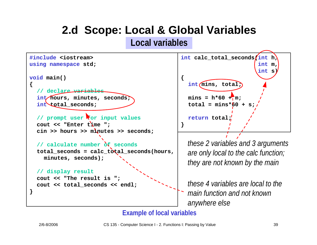### **2.d Scope: Local & Global Variables Local variables**





*these 2 variables and 3 arguments are only local to the calc function; they are not known by the main*

*these 4 variables are local to themain function and not knownanywhere else*

#### **Example of l ocal vari ables**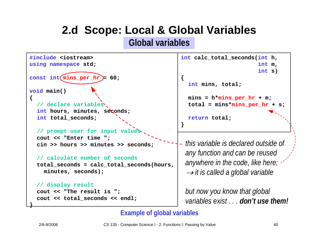### **2.d Scope: Local & Global Variables Global variables**



```
int m,
                      int s)
int mins, total;
mins = h*mins per hr + m;total = mins*mins_per_hr + s;
```
**return total;**

*this variable is declared outside ofany function and can be reused anywhere in the code, like here;* → *it is called a global variable*

*but now you know that global variables exist . . . don't use them!*

#### **Example of global variables**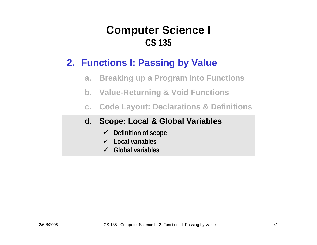### **2. Functions I: Passing by Value**

- **a.Breaking up a Program into Functions**
- **b. Value-Returning & Void Functions**
- **c.Code Layout: Declarations & Definitions**

#### **d. Scope: Local & Global Variables**

- 9 **Definition of scope**
- 9 **Local vari ables**
- 9**Global variables**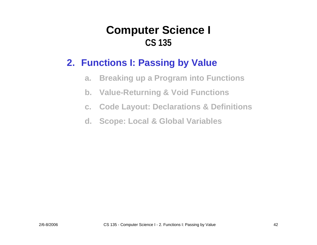### **2. Functions I: Passing by Value**

- **a.Breaking up a Program into Functions**
- **b. Value-Returning & Void Functions**
- **c.Code Layout: Declarations & Definitions**
- **d. Scope: Local & Global Variables**